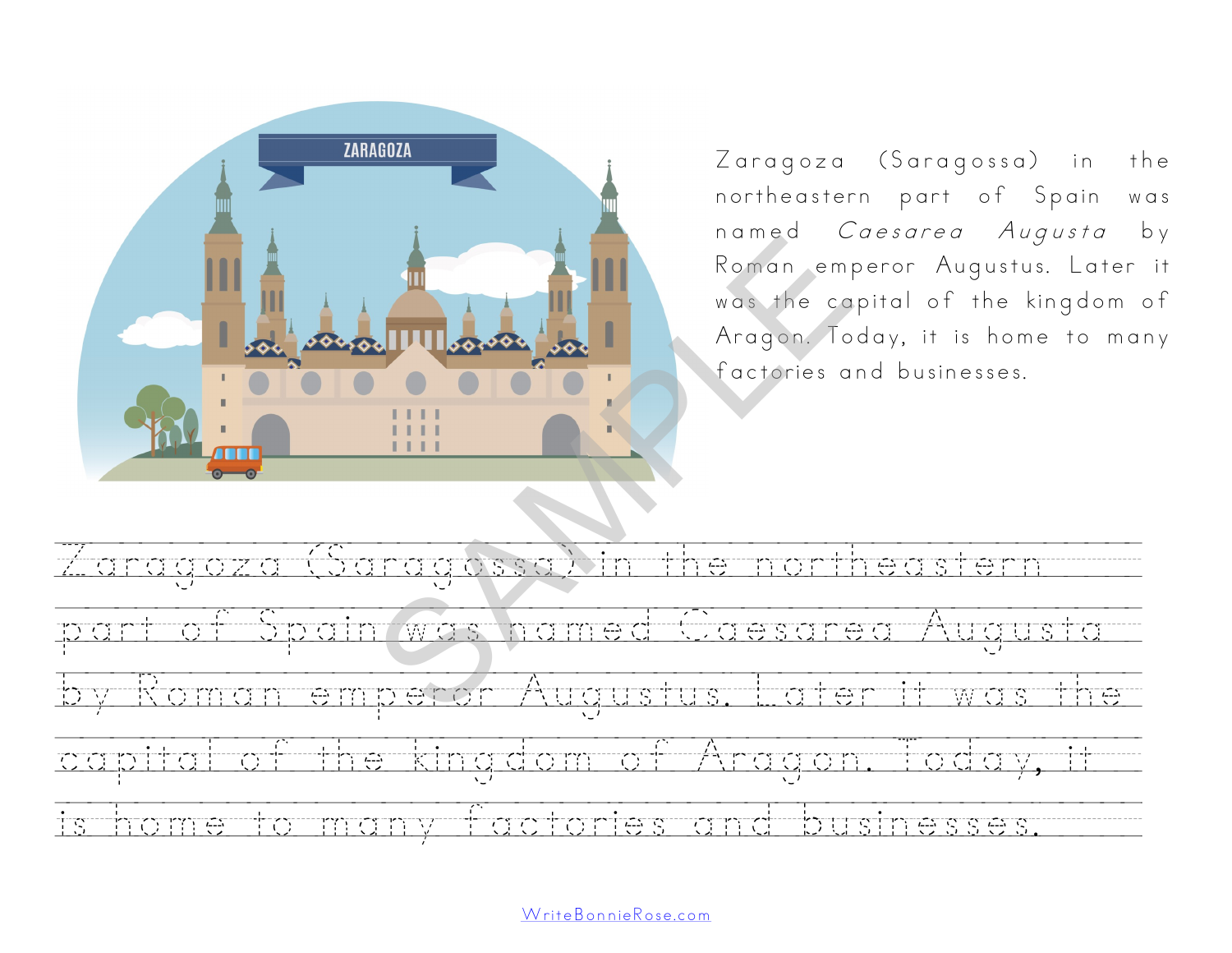

Zaragoza (Saragossa) in the northeastern part of Spain was named Caesarea Augusta by Roman emperor Augustus. Later it was the capital of the kingdom of Aragon. Today, it is home to many factories and businesses.



[WriteBonnieRose.com](http://www.writebonnierose.com)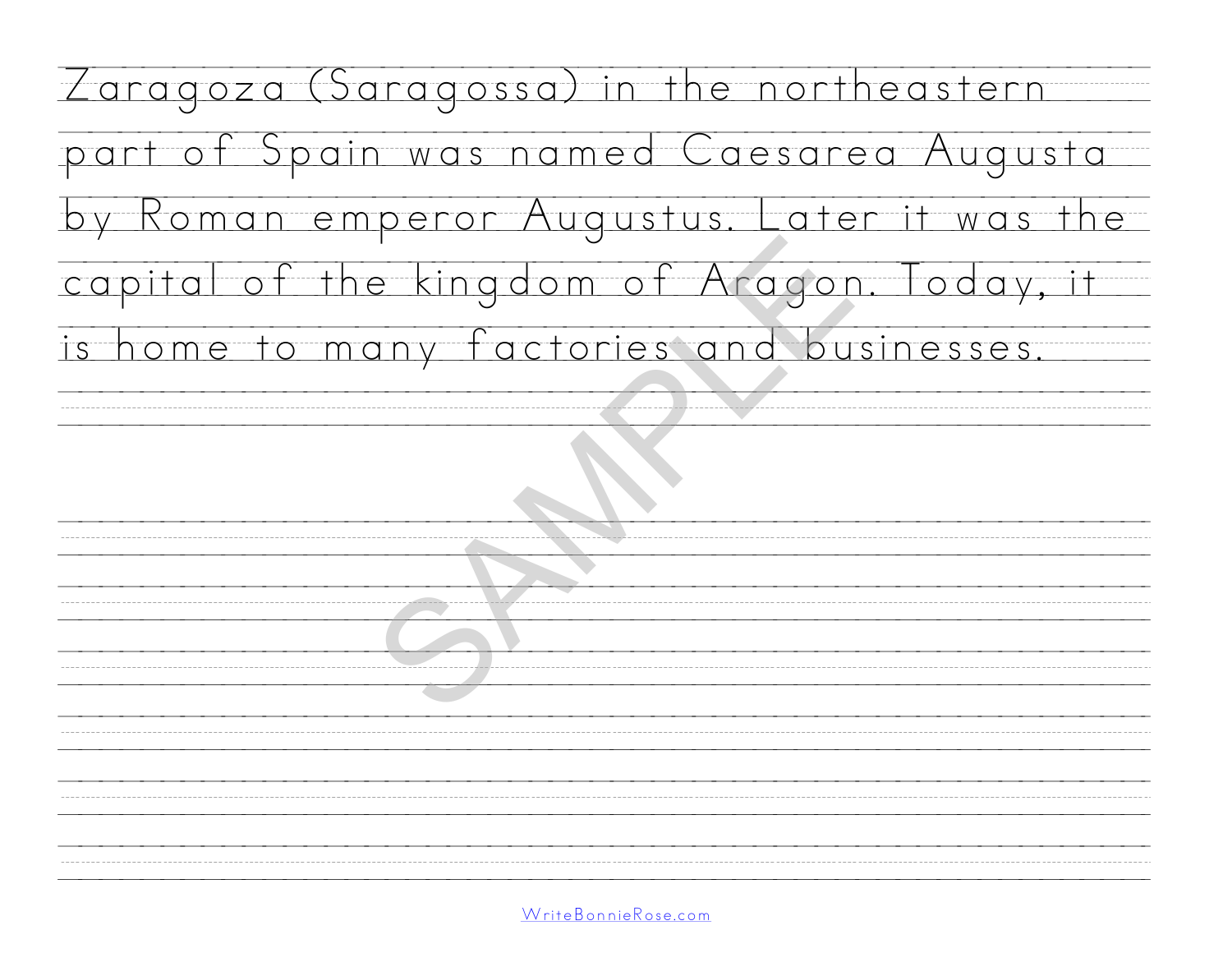| Zaragoza (Saragossa) in the northeastern    |
|---------------------------------------------|
| part of Spain was named Caesarea Augusta    |
| by Roman emperor Augustus. Later it was the |
| capital of the kingdom of Aragon. Today, it |
| is home to many factories and businesses.   |
|                                             |
|                                             |
|                                             |
|                                             |
|                                             |
|                                             |